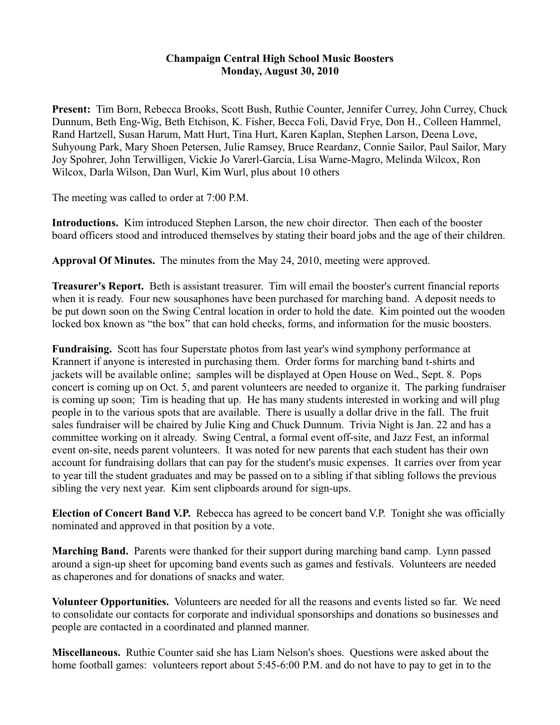## **Champaign Central High School Music Boosters Monday, August 30, 2010**

**Present:** Tim Born, Rebecca Brooks, Scott Bush, Ruthie Counter, Jennifer Currey, John Currey, Chuck Dunnum, Beth Eng-Wig, Beth Etchison, K. Fisher, Becca Foli, David Frye, Don H., Colleen Hammel, Rand Hartzell, Susan Harum, Matt Hurt, Tina Hurt, Karen Kaplan, Stephen Larson, Deena Love, Suhyoung Park, Mary Shoen Petersen, Julie Ramsey, Bruce Reardanz, Connie Sailor, Paul Sailor, Mary Joy Spohrer, John Terwilligen, Vickie Jo Varerl-Garcia, Lisa Warne-Magro, Melinda Wilcox, Ron Wilcox, Darla Wilson, Dan Wurl, Kim Wurl, plus about 10 others

The meeting was called to order at 7:00 P.M.

**Introductions.** Kim introduced Stephen Larson, the new choir director. Then each of the booster board officers stood and introduced themselves by stating their board jobs and the age of their children.

**Approval Of Minutes.** The minutes from the May 24, 2010, meeting were approved.

**Treasurer's Report.** Beth is assistant treasurer. Tim will email the booster's current financial reports when it is ready. Four new sousaphones have been purchased for marching band. A deposit needs to be put down soon on the Swing Central location in order to hold the date. Kim pointed out the wooden locked box known as "the box" that can hold checks, forms, and information for the music boosters.

**Fundraising.** Scott has four Superstate photos from last year's wind symphony performance at Krannert if anyone is interested in purchasing them. Order forms for marching band t-shirts and jackets will be available online; samples will be displayed at Open House on Wed., Sept. 8. Pops concert is coming up on Oct. 5, and parent volunteers are needed to organize it. The parking fundraiser is coming up soon; Tim is heading that up. He has many students interested in working and will plug people in to the various spots that are available. There is usually a dollar drive in the fall. The fruit sales fundraiser will be chaired by Julie King and Chuck Dunnum. Trivia Night is Jan. 22 and has a committee working on it already. Swing Central, a formal event off-site, and Jazz Fest, an informal event on-site, needs parent volunteers. It was noted for new parents that each student has their own account for fundraising dollars that can pay for the student's music expenses. It carries over from year to year till the student graduates and may be passed on to a sibling if that sibling follows the previous sibling the very next year. Kim sent clipboards around for sign-ups.

**Election of Concert Band V.P.** Rebecca has agreed to be concert band V.P. Tonight she was officially nominated and approved in that position by a vote.

**Marching Band.** Parents were thanked for their support during marching band camp. Lynn passed around a sign-up sheet for upcoming band events such as games and festivals. Volunteers are needed as chaperones and for donations of snacks and water.

**Volunteer Opportunities.** Volunteers are needed for all the reasons and events listed so far. We need to consolidate our contacts for corporate and individual sponsorships and donations so businesses and people are contacted in a coordinated and planned manner.

**Miscellaneous.** Ruthie Counter said she has Liam Nelson's shoes. Questions were asked about the home football games: volunteers report about 5:45-6:00 P.M. and do not have to pay to get in to the